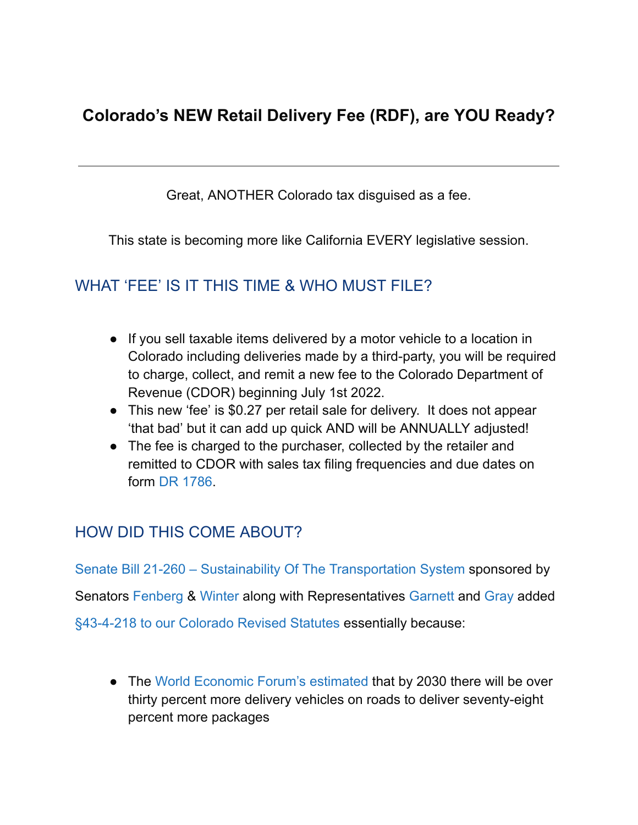# **Colorado's NEW Retail Delivery Fee (RDF), are YOU Ready?**

Great, ANOTHER Colorado tax disguised as a fee.

This state is becoming more like California EVERY legislative session.

#### WHAT 'FEE' IS IT THIS TIME & WHO MUST FILE?

- If you sell taxable items delivered by a motor vehicle to a location in Colorado including deliveries made by a third-party, you will be required to charge, collect, and remit a new fee to the Colorado Department of Revenue (CDOR) beginning July 1st 2022.
- This new 'fee' is \$0.27 per retail sale for delivery. It does not appear 'that bad' but it can add up quick AND will be ANNUALLY adjusted!
- The fee is charged to the purchaser, collected by the retailer and remitted to CDOR with sales tax filing frequencies and due dates on form DR [1786.](https://tax.colorado.gov/sites/tax/files/documents/DR1786_06-2022.pdf)

#### HOW DID THIS COME ABOUT?

Senate Bill 21-260 – Sustainability Of The [Transportation](https://leg.colorado.gov/bills/sb21-260) System sponsored by Senators [Fenberg](https://leg.colorado.gov/legislators/stephen-fenberg) & [Winter](https://leg.colorado.gov/legislators/faith-winter) along with Representatives [Garnett](https://leg.colorado.gov/legislators/alec-garnett) and [Gray](https://leg.colorado.gov/legislators/matt-gray) added [§43-4-218](https://advance.lexis.com/documentpage/?pdmfid=1000516&crid=bc5c161b-96fa-4533-8f4c-ccb2ff9318af&nodeid=ABTAAEAABAACAAS&nodepath=%2FROOT%2FABT%2FABTAAE%2FABTAAEAAB%2FABTAAEAABAAC%2FABTAAEAABAACAAS&level=5&haschildren=&populated=false&title=43-4-218.+Additional+funding+-+retail+delivery+fee+-+fund+created+-+simultaneous+collection+of+enterprise+fees+-+rules+-+legislative+declaration+-+definitions.&config=014FJAAyNGJkY2Y4Zi1mNjgyLTRkN2YtYmE4OS03NTYzNzYzOTg0OGEKAFBvZENhdGFsb2d592qv2Kywlf8caKqYROP5&pddocfullpath=%2Fshared%2Fdocument%2Fstatutes-legislation%2Furn%3AcontentItem%3A635T-FST3-GXJ9-31F1-00008-00&ecomp=vg1_9kk&prid=d85a687d-0410-488c-9c23-30473e64f56b) to our Colorado Revised Statutes essentially because:

● The World [Economic](https://www.weforum.org/agenda/2016/11/8-predictions-for-the-world-in-2030/) Forum's estimated that by 2030 there will be over thirty percent more delivery vehicles on roads to deliver seventy-eight percent more packages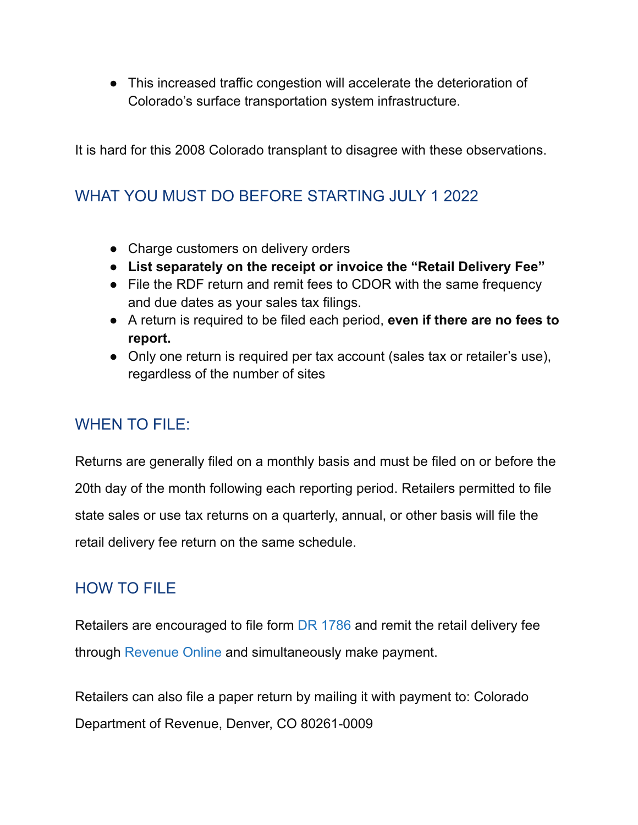● This increased traffic congestion will accelerate the deterioration of Colorado's surface transportation system infrastructure.

It is hard for this 2008 Colorado transplant to disagree with these observations.

### WHAT YOU MUST DO BEFORE STARTING JULY 1 2022

- Charge customers on delivery orders
- **List separately on the receipt or invoice the "Retail Delivery Fee"**
- File the RDF return and remit fees to CDOR with the same frequency and due dates as your sales tax filings.
- A return is required to be filed each period, **even if there are no fees to report.**
- Only one return is required per tax account (sales tax or retailer's use), regardless of the number of sites

#### WHEN TO FILE:

Returns are generally filed on a monthly basis and must be filed on or before the 20th day of the month following each reporting period. Retailers permitted to file state sales or use tax returns on a quarterly, annual, or other basis will file the retail delivery fee return on the same schedule.

#### HOW TO FILE

Retailers are encouraged to file form DR [1786](https://tax.colorado.gov/sites/tax/files/documents/DR1786_06-2022.pdf) and remit the retail delivery fee through [Revenue](https://www.colorado.gov/revenueonline/_/) Online and simultaneously make payment.

Retailers can also file a paper return by mailing it with payment to: Colorado Department of Revenue, Denver, CO 80261-0009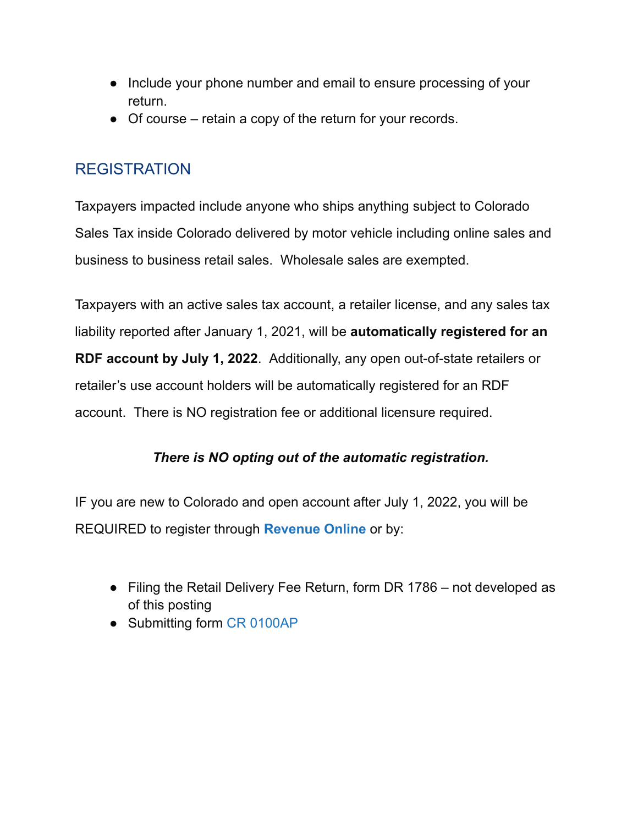- Include your phone number and email to ensure processing of your return.
- Of course retain a copy of the return for your records.

### **REGISTRATION**

Taxpayers impacted include anyone who ships anything subject to Colorado Sales Tax inside Colorado delivered by motor vehicle including online sales and business to business retail sales. Wholesale sales are exempted.

Taxpayers with an active sales tax account, a retailer license, and any sales tax liability reported after January 1, 2021, will be **automatically registered for an RDF account by July 1, 2022**. Additionally, any open out-of-state retailers or retailer's use account holders will be automatically registered for an RDF account. There is NO registration fee or additional licensure required.

#### *There is NO opting out of the automatic registration.*

IF you are new to Colorado and open account after July 1, 2022, you will be REQUIRED to register through **[Revenue](https://r20.rs6.net/tn.jsp?f=001lvuVJfC2La9w0SCUItiDXZhr-JRzUeIYV-tdmOAkp_ABUye9AeSPVn0S6cWUN0y8l7aCZDCKx5b9058-mGIDNJwm48ieQp9znXIdQWWfm2W5agxHDzB0BU4E22jGPBD1RA5FIIFPxlDW5AgjE6ew56uggrpIQ9Yl&c=dH1duB8mxHg-sZnOO_Ccc9q9guWCvDql4_rvB4TND-F7pJw_ZP_iQg==&ch=IvIKKrLEyl_5bYIuYtD3U6eh-fWGII1K6ks1Y3Fq-dN83yjHmZvPkw==) Online** or by:

- Filing the Retail Delivery Fee Return, form DR 1786 not developed as of this posting
- Submitting form CR [0100AP](https://tax.colorado.gov/sites/tax/files/CR0100AP_11-2020.pdf)